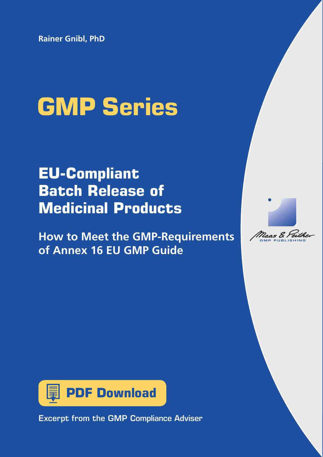**Rainer Gnibl, PhD**

# **GMP Series**

# **EU-Compliant Batch Release of Medicinal Products**

**How to Meet the GMP-Requirements of Annex 16 EU GMP Guide**





Excerpt from the GMP Compliance Adviser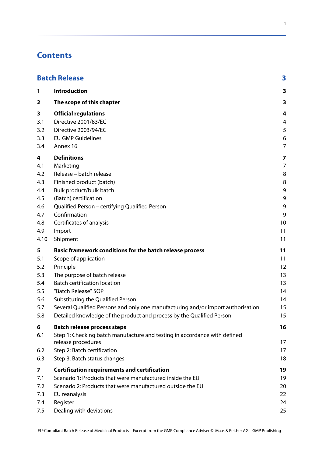# **Contents**

| <b>Batch Release</b><br>3 |                                                                                  |                |  |
|---------------------------|----------------------------------------------------------------------------------|----------------|--|
| 1                         | <b>Introduction</b>                                                              | 3              |  |
| 2                         | The scope of this chapter                                                        | 3              |  |
| 3                         | <b>Official regulations</b>                                                      | 4              |  |
| 3.1                       | Directive 2001/83/EC                                                             | 4              |  |
| 3.2                       | Directive 2003/94/EC                                                             | 5              |  |
| 3.3                       | <b>EU GMP Guidelines</b>                                                         | 6              |  |
| 3.4                       | Annex 16                                                                         | $\overline{7}$ |  |
| 4                         | <b>Definitions</b>                                                               | 7              |  |
| 4.1                       | Marketing                                                                        | $\overline{7}$ |  |
| 4.2                       | Release - batch release                                                          | 8              |  |
| 4.3                       | Finished product (batch)                                                         | 8              |  |
| 4.4                       | Bulk product/bulk batch                                                          | 9              |  |
| 4.5                       | (Batch) certification                                                            | 9              |  |
| 4.6                       | Qualified Person - certifying Qualified Person                                   | 9              |  |
| 4.7                       | Confirmation                                                                     | 9              |  |
| 4.8                       | Certificates of analysis                                                         | 10             |  |
| 4.9                       | Import                                                                           | 11             |  |
| 4.10                      | Shipment                                                                         | 11             |  |
| 5                         | Basic framework conditions for the batch release process                         | 11             |  |
| 5.1                       | Scope of application                                                             | 11             |  |
| 5.2                       | Principle                                                                        | 12             |  |
| 5.3                       | The purpose of batch release                                                     | 13             |  |
| 5.4                       | <b>Batch certification location</b>                                              | 13             |  |
| 5.5                       | "Batch Release" SOP                                                              | 14             |  |
| 5.6                       | Substituting the Qualified Person                                                | 14             |  |
| 5.7                       | Several Qualified Persons and only one manufacturing and/or import authorisation | 15             |  |
| 5.8                       | Detailed knowledge of the product and process by the Qualified Person            | 15             |  |
| 6                         | <b>Batch release process steps</b>                                               | 16             |  |
| 6.1                       | Step 1: Checking batch manufacture and testing in accordance with defined        |                |  |
|                           | release procedures                                                               | 17             |  |
| 6.2                       | Step 2: Batch certification                                                      | 17             |  |
| 6.3                       | Step 3: Batch status changes                                                     | 18             |  |
| 7                         | <b>Certification requirements and certification</b>                              | 19             |  |
| 7.1                       | Scenario 1: Products that were manufactured inside the EU                        | 19             |  |
| 7.2                       | Scenario 2: Products that were manufactured outside the EU                       | 20             |  |
| 7.3                       | EU reanalysis                                                                    | 22             |  |
| 7.4                       | Register                                                                         | 24             |  |
| 7.5                       | Dealing with deviations                                                          | 25             |  |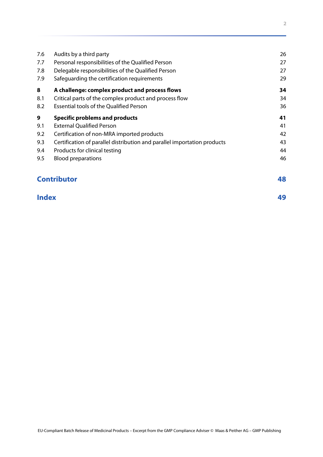| 7.6 | Audits by a third party                                                  | 26 |
|-----|--------------------------------------------------------------------------|----|
| 7.7 | Personal responsibilities of the Qualified Person                        | 27 |
| 7.8 | Delegable responsibilities of the Qualified Person                       | 27 |
| 7.9 | Safequarding the certification requirements                              | 29 |
| 8   | A challenge: complex product and process flows                           | 34 |
| 8.1 | Critical parts of the complex product and process flow                   | 34 |
| 8.2 | <b>Essential tools of the Qualified Person</b>                           | 36 |
| 9   | <b>Specific problems and products</b>                                    | 41 |
| 9.1 | <b>External Qualified Person</b>                                         | 41 |
| 9.2 | Certification of non-MRA imported products                               | 42 |
| 9.3 | Certification of parallel distribution and parallel importation products | 43 |
| 9.4 | Products for clinical testing                                            | 44 |
| 9.5 | <b>Blood preparations</b>                                                | 46 |
|     | <b>Contributor</b>                                                       | 48 |

# **[Index 49](#page-12-0)**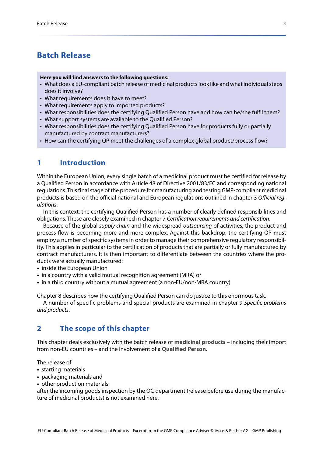# <span id="page-3-0"></span>**Batch Release**

#### **Here you will find answers to the following questions:**

- What does a EU-compliant batch release of medicinal products look like and what individual steps does it involve?
- What requirements does it have to meet?
- What requirements apply to imported products?
- What responsibilities does the certifying Qualified Person have and how can he/she fulfil them?
- What support systems are available to the Qualified Person?
- What responsibilities does the certifying Qualified Person have for products fully or partially manufactured by contract manufacturers?
- How can the certifying QP meet the challenges of a complex global product/process flow?

# <span id="page-3-1"></span>**1 Introduction**

Within the European Union, every single batch of a medicinal product must be certified for release by a Qualified Person in accordance with Article 48 of Directive 2001/83/EC and corresponding national regulations. This final stage of the procedure for manufacturing and testing GMP-compliant medicinal products is based on the official national and European regulations outlined in chapter 3 *[Official reg](#page-4-0)[ulations](#page-4-0)*.

In this context, the certifying Qualified Person has a number of clearly defined responsibilities and obligations. These are closely examined in chapter 7 *[Certification requirements and certification](#page--1-21)*.

Because of the global *supply chain* and the widespread *outsourcing* of activities, the product and process flow is becoming more and more complex. Against this backdrop, the certifying QP must employ a number of specific systems in order to manage their comprehensive regulatory responsibility. This applies in particular to the certification of products that are partially or fully manufactured by contract manufacturers. It is then important to differentiate between the countries where the products were actually manufactured:

- **•** inside the European Union
- **•** in a country with a valid mutual recognition agreement (MRA) or
- **•** in a third country without a mutual agreement (a non-EU/non-MRA country).

[Chapter 8](#page--1-30) describes how the certifying Qualified Person can do justice to this enormous task.

A number of specific problems and special products are examined in chapter 9 *[Specific problems](#page--1-33) [and products](#page--1-33)*.

## <span id="page-3-2"></span>**2 The scope of this chapter**

<span id="page-3-4"></span><span id="page-3-3"></span>This chapter deals exclusively with the batch release of **medicinal products** – including their import from non-EU countries – and the involvement of a **Qualified Person**.

The release of

- **•** starting materials
- **•** packaging materials and
- **•** other production materials

after the incoming goods inspection by the QC department (release before use during the manufacture of medicinal products) is not examined here.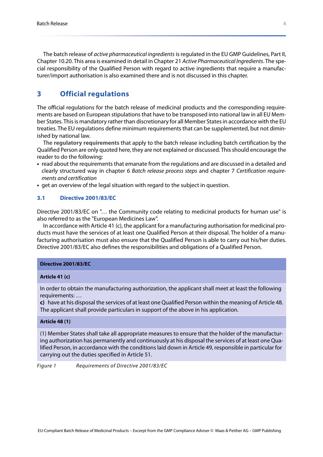The batch release of *active pharmaceutical ingredients* is regulated in the EU GMP Guidelines, Part II, Chapter 10.20. This area is examined in detail in Chapter 21 *Active Pharmaceutical Ingredients*. The special responsibility of the Qualified Person with regard to active ingredients that require a manufacturer/import authorisation is also examined there and is not discussed in this chapter.

# <span id="page-4-0"></span>**3 Official regulations**

The official regulations for the batch release of medicinal products and the corresponding requirements are based on European stipulations that have to be transposed into national law in all EU Member States. This is mandatory rather than discretionary for all Member States in accordance with the EU treaties. The EU regulations define minimum requirements that can be supplemented, but not diminished by national law.

<span id="page-4-2"></span>The **regulatory requirements** that apply to the batch release including batch certification by the Qualified Person are only quoted here, they are not explained or discussed. This should encourage the reader to do the following:

- **•** read about the requirements that emanate from the regulations and are discussed in a detailed and clearly structured way in chapter 6 *[Batch release process steps](#page--1-18)* and chapter 7 *[Certification require](#page--1-21)[ments and certification](#page--1-21)*
- **•** get an overview of the legal situation with regard to the subject in question.

#### <span id="page-4-1"></span>**3.1 Directive 2001/83/EC**

Directive 2001/83/EC on "… the Community code relating to medicinal products for human use" is also referred to as the "European Medicines Law".

In accordance with Article 41 (c), the applicant for a manufacturing authorisation for medicinal products must have the services of at least one Qualified Person at their disposal. The holder of a manufacturing authorisation must also ensure that the Qualified Person is able to carry out his/her duties. Directive 2001/83/EC also defines the responsibilities and obligations of a Qualified Person.

#### **Directive 2001/83/EC**

#### **Article 41 (c)**

In order to obtain the manufacturing authorization, the applicant shall meet at least the following requirements: …

**c)** have at his disposal the services of at least one Qualified Person within the meaning of Article 48. The applicant shall provide particulars in support of the above in his application.

#### **Article 48 (1)**

(1) Member States shall take all appropriate measures to ensure that the holder of the manufacturing authorization has permanently and continuously at his disposal the services of at least one Qualified Person, in accordance with the conditions laid down in Article 49, responsible in particular for carrying out the duties specified in Article 51.

*Figure 1 Requirements of Directive 2001/83/EC*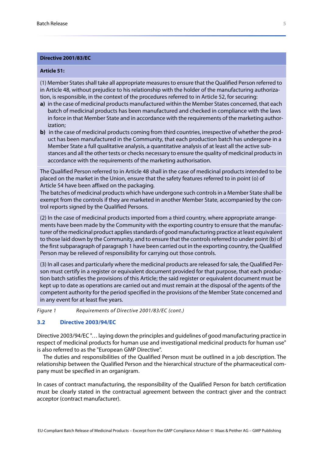#### **Directive 2001/83/EC**

#### **Article 51:**

(1) Member States shall take all appropriate measures to ensure that the Qualified Person referred to in Article 48, without prejudice to his relationship with the holder of the manufacturing authorization, is responsible, in the context of the procedures referred to in Article 52, for securing:

- **a)** in the case of medicinal products manufactured within the Member States concerned, that each batch of medicinal products has been manufactured and checked in compliance with the laws in force in that Member State and in accordance with the requirements of the marketing authorization;
- **b**) in the case of medicinal products coming from third countries, irrespective of whether the product has been manufactured in the Community, that each production batch has undergone in a Member State a full qualitative analysis, a quantitative analysis of at least all the active substances and all the other tests or checks necessary to ensure the quality of medicinal products in accordance with the requirements of the marketing authorisation.

The Qualified Person referred to in Article 48 shall in the case of medicinal products intended to be placed on the market in the Union, ensure that the safety features referred to in point (o) of Article 54 have been affixed on the packaging.

The batches of medicinal products which have undergone such controls in a Member State shall be exempt from the controls if they are marketed in another Member State, accompanied by the control reports signed by the Qualified Persons.

(2) In the case of medicinal products imported from a third country, where appropriate arrangements have been made by the Community with the exporting country to ensure that the manufacturer of the medicinal product applies standards of good manufacturing practice at least equivalent to those laid down by the Community, and to ensure that the controls referred to under point (b) of the first subparagraph of paragraph 1 have been carried out in the exporting country, the Qualified Person may be relieved of responsibility for carrying out those controls.

(3) In all cases and particularly where the medicinal products are released for sale, the Qualified Person must certify in a register or equivalent document provided for that purpose, that each production batch satisfies the provisions of this Article; the said register or equivalent document must be kept up to date as operations are carried out and must remain at the disposal of the agents of the competent authority for the period specified in the provisions of the Member State concerned and in any event for at least five years.

*Figure 1 Requirements of Directive 2001/83/EC (cont.)*

#### <span id="page-5-0"></span>**3.2 Directive 2003/94/EC**

<span id="page-5-1"></span>Directive 2003/94/EC "… laying down the principles and guidelines of good manufacturing practice in respect of medicinal products for human use and investigational medicinal products for human use" is also referred to as the "European GMP Directive".

The duties and responsibilities of the Qualified Person must be outlined in a job description. The relationship between the Qualified Person and the hierarchical structure of the pharmaceutical company must be specified in an organigram.

In cases of contract manufacturing, the responsibility of the Qualified Person for batch certification must be clearly stated in the contractual agreement between the contract giver and the contract acceptor (contract manufacturer).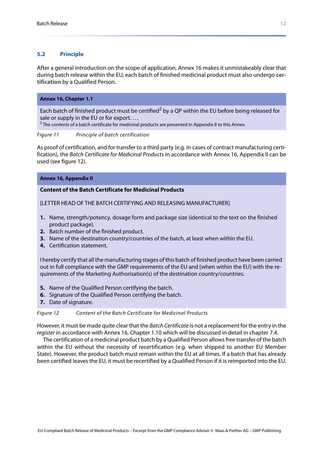#### <span id="page-6-0"></span>**5.2 Principle**

<span id="page-6-2"></span>After a general introduction on the scope of application, Annex 16 makes it unmistakeably clear that during batch release within the EU, each batch of finished medicinal product must also undergo **certification** by a Qualified Person.

#### **Annex 16, Chapter 1.1**

Each batch of finished product must be certified<sup>2</sup> by a QP within the EU before being released for sale or supply in the EU or for export. …

<sup>2</sup> The contents of a batch certificate for medicinal products are presented in Appendix II to this Annex.

#### *Figure 11 Principle of batch certification*

As proof of certification, and for transfer to a third party (e.g. in cases of contract manufacturing certification), the *Batch Certificate for Medicinal Products* in accordance with Annex 16, Appendix II can be used (see [figure 12](#page-6-1)).

#### **Annex 16, Appendix II**

#### **Content of the Batch Certificate for Medicinal Products**

[LETTER HEAD OF THE BATCH CERTIFYING AND RELEASING MANUFACTURER]

- **1.** Name, strength/potency, dosage form and package size (identical to the text on the finished product package).
- **2.** Batch number of the finished product.
- **3.** Name of the destination country/countries of the batch, at least when within the EU.
- **4.** Certification statement.

I hereby certify that all the manufacturing stages of this batch of finished product have been carried out in full compliance with the GMP requirements of the EU and [when within the EU] with the requirements of the Marketing Authorisation(s) of the destination country/countries.

- **5.** Name of the Qualified Person certifying the batch.
- **6.** Signature of the Qualified Person certifying the batch.
- **7.** Date of signature.

#### <span id="page-6-1"></span>*Figure 12 Content of the Batch Certificate for Medicinal Products*

However, it must be made quite clear that the *Batch Certificate* is not a replacement for the entry in the *register* in accordance with Annex 16, Chapter 1.10 which will be discussed in detail in [chapter 7.4.](#page--1-25)

The certification of a medicinal product batch by a Qualified Person allows free transfer of the batch within the EU without the necessity of recertification (e.g. when shipped to another EU Member State). However, the product batch must remain within the EU at all times. If a batch that has already been certified leaves the EU, it must be recertified by a Qualified Person if it is reimported into the EU.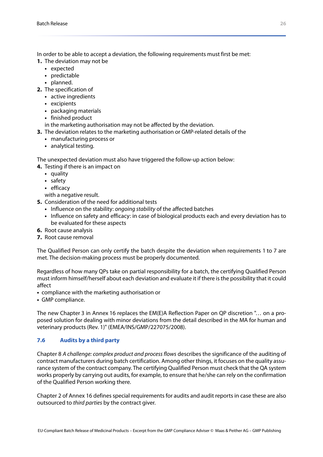In order to be able to accept a deviation, the following requirements must first be met:

- **1.** The deviation may not be
	- **•** expected
	- **•** predictable
	- **•** planned.
- **2.** The specification of
	- **•** active ingredients
	- **•** excipients
	- **•** packaging materials
	- **•** finished product
	- in the marketing authorisation may not be affected by the deviation.
- **3.** The deviation relates to the marketing authorisation or GMP-related details of the
	- **•** manufacturing process or
	- **•** analytical testing.

The unexpected deviation must also have triggered the follow-up action below:

- **4.** Testing if there is an impact on
	- **•** quality
	- **•** safety
	- **•** efficacy

with a negative result.

- **5.** Consideration of the need for additional tests
	- **•** Influence on the stability: *ongoing stability* of the affected batches
	- **•** Influence on safety and efficacy: in case of biological products each and every deviation has to be evaluated for these aspects
- **6.** Root cause analysis
- **7.** Root cause removal

The Qualified Person can only certify the batch despite the deviation when requirements 1 to 7 are met. The decision-making process must be properly documented.

Regardless of how many QPs take on partial responsibility for a batch, the certifying Qualified Person must inform himself/herself about each deviation and evaluate it if there is the possibility that it could affect

- **•** compliance with the marketing authorisation or
- **•** GMP compliance.

The new Chapter 3 in Annex 16 replaces the EM(E)A Reflection Paper on QP discretion "… on a proposed solution for dealing with minor deviations from the detail described in the MA for human and veterinary products (Rev. 1)" (EMEA/INS/GMP/227075/2008).

## <span id="page-7-1"></span><span id="page-7-0"></span>**7.6 Audits by a third party**

Chapter 8 *[A challenge: complex product and process flows](#page--1-30)* describes the significance of the auditing of contract manufacturers during batch certification. Among other things, it focuses on the quality assurance system of the contract company. The certifying Qualified Person must check that the QA system works properly by carrying out audits, for example, to ensure that he/she can rely on the confirmation of the Qualified Person working there.

Chapter 2 of Annex 16 defines special requirements for audits and audit reports in case these are also outsourced to *third parties* by the contract giver.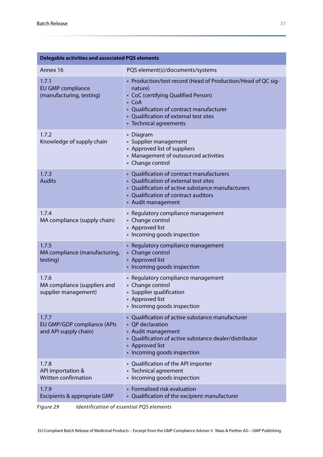| <b>Delegable activities and associated PQS elements</b>       |                                                                                                                                                                                                                                               |  |  |  |  |  |
|---------------------------------------------------------------|-----------------------------------------------------------------------------------------------------------------------------------------------------------------------------------------------------------------------------------------------|--|--|--|--|--|
| Annex 16                                                      | PQS element(s)/documents/systems                                                                                                                                                                                                              |  |  |  |  |  |
| 1.7.1<br><b>EU GMP compliance</b><br>(manufacturing, testing) | • Production/test record (Head of Production/Head of QC sig-<br>nature)<br>• CoC (certifying Qualified Person)<br>$\cdot$ CoA<br>• Qualification of contract manufacturer<br>• Qualification of external test sites<br>• Technical agreements |  |  |  |  |  |
| 1.7.2<br>Knowledge of supply chain                            | • Diagram<br>• Supplier management<br>• Approved list of suppliers<br>• Management of outsourced activities<br>• Change control                                                                                                               |  |  |  |  |  |
| 1.7.3<br><b>Audits</b>                                        | • Qualification of contract manufacturers<br>• Qualification of external test sites<br>• Qualification of active substance manufacturers<br>• Qualification of contract auditors<br>• Audit management                                        |  |  |  |  |  |
| 1.7.4<br>MA compliance (supply chain)                         | • Regulatory compliance management<br>• Change control<br>• Approved list<br>• Incoming goods inspection                                                                                                                                      |  |  |  |  |  |
| 1.7.5<br>MA compliance (manufacturing,<br>testing)            | • Regulatory compliance management<br>• Change control<br>• Approved list<br>• Incoming goods inspection                                                                                                                                      |  |  |  |  |  |
| 1.7.6<br>MA compliance (suppliers and<br>supplier management) | • Regulatory compliance management<br>• Change control<br>• Supplier qualification<br>Approved list<br>• Incoming goods inspection                                                                                                            |  |  |  |  |  |
| 1.7.7<br>EU GMP/GDP compliance (APIs<br>and API supply chain) | • Qualification of active substance manufacturer<br>• QP declaration<br>• Audit management<br>• Qualification of active substance dealer/distributor<br>• Approved list<br>• Incoming goods inspection                                        |  |  |  |  |  |
| 1.7.8<br>API importation &<br>Written confirmation            | • Qualification of the API importer<br>• Technical agreement<br>• Incoming goods inspection                                                                                                                                                   |  |  |  |  |  |
| 1.7.9<br>Excipients & appropriate GMP                         | • Formalised risk evaluation<br>• Qualification of the excipient manufacturer                                                                                                                                                                 |  |  |  |  |  |

*Figure 29 Identification of essential PQS elements*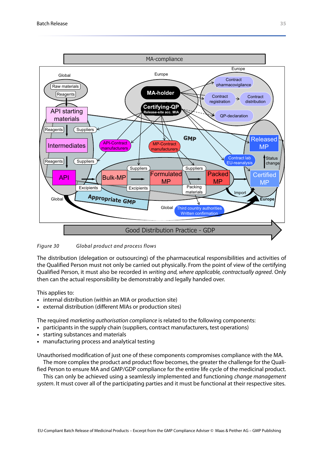

#### *Figure 30 Global product and process flows*

The distribution (delegation or outsourcing) of the pharmaceutical responsibilities and activities of the Qualified Person must not only be carried out physically. From the point of view of the certifying Qualified Person, it must also be recorded in *writing and, where applicable, contractually agreed*. Only then can the actual responsibility be demonstrably and legally handed over.

#### This applies to:

- **•** internal distribution (within an MIA or production site)
- **•** external distribution (different MIAs or production sites)

The required *marketing authorisation compliance* is related to the following components:

- **•** participants in the supply chain (suppliers, contract manufacturers, test operations)
- **•** starting substances and materials
- **•** manufacturing process and analytical testing

Unauthorised modification of just one of these components compromises compliance with the MA. The more complex the product and product flow becomes, the greater the challenge for the Quali-

fied Person to ensure MA and GMP/GDP compliance for the entire life cycle of the medicinal product. This can only be achieved using a seamlessly implemented and functioning *change management*

*system*. It must cover all of the participating parties and it must be functional at their respective sites.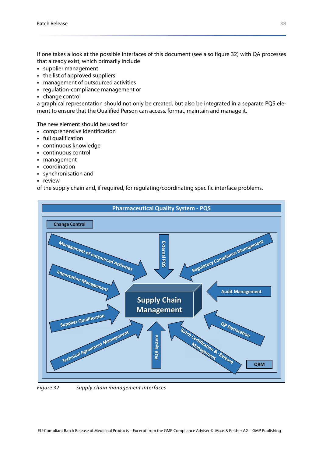If one takes a look at the possible interfaces of this document (see also [figure 32](#page-10-0)) with QA processes that already exist, which primarily include

- **•** supplier management
- **•** the list of approved suppliers
- **•** management of outsourced activities
- **•** regulation-compliance management or
- **•** change control

a graphical representation should not only be created, but also be integrated in a separate PQS element to ensure that the Qualified Person can access, format, maintain and manage it.

The new element should be used for

- **•** comprehensive identification
- **•** full qualification
- **•** continuous knowledge
- **•** continuous control
- **•** management
- **•** coordination
- **•** synchronisation and
- **•** review

of the supply chain and, if required, for regulating/coordinating specific interface problems.



<span id="page-10-0"></span>*Figure 32 Supply chain management interfaces*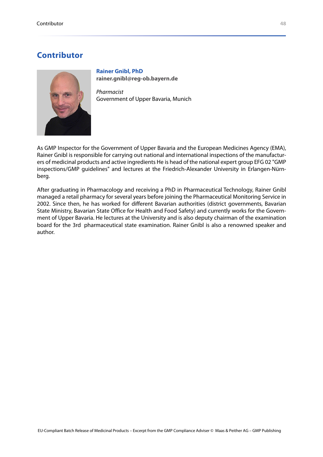# <span id="page-11-0"></span>**Contributor**



<span id="page-11-1"></span>**Rainer Gnibl, PhD [rainer.gnibl@reg-ob.bayern.de](mailto:rainer.gnibl@reg-ob.bayern.de)**

*Pharmacist* Government of Upper Bavaria, Munich

As GMP Inspector for the Government of Upper Bavaria and the European Medicines Agency (EMA), Rainer Gnibl is responsible for carrying out national and international inspections of the manufacturers of medicinal products and active ingredients He is head of the national expert group EFG 02 "GMP inspections/GMP guidelines" and lectures at the Friedrich-Alexander University in Erlangen-Nürnberg.

After graduating in Pharmacology and receiving a PhD in Pharmaceutical Technology, Rainer Gnibl managed a retail pharmacy for several years before joining the Pharmaceutical Monitoring Service in 2002. Since then, he has worked for different Bavarian authorities (district governments, Bavarian State Ministry, Bavarian State Office for Health and Food Safety) and currently works for the Government of Upper Bavaria. He lectures at the University and is also deputy chairman of the examination board for the 3rd pharmaceutical state examination. Rainer Gnibl is also a renowned speaker and author.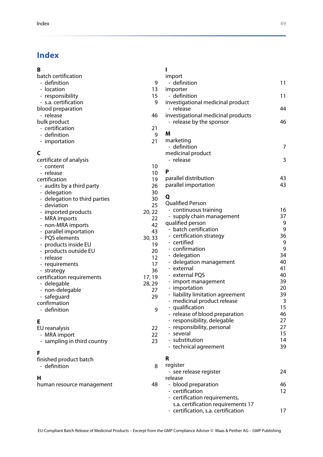# <span id="page-12-0"></span>**Index**

| B                               |         |                                       |          |
|---------------------------------|---------|---------------------------------------|----------|
| batch certification             |         | import                                |          |
| - definition                    | 9       | - definition                          | 11       |
| - location                      | 13      | importer                              |          |
| - responsibility                | 15      | - definition                          | 11       |
| - s.a. certification            | 9       | investigational medicinal product     |          |
| blood preparation               |         | - release                             | 44       |
| - release                       | 46      | investigational medicinal products    |          |
| bulk product                    |         | - release by the sponsor              | 46       |
| - certification<br>- definition | 21<br>9 | м                                     |          |
|                                 | 21      | marketing                             |          |
| - importation                   |         | - definition                          | 7        |
| C                               |         | medicinal product                     |          |
| certificate of analysis         |         | - release                             | 3        |
| - content                       | 10      |                                       |          |
| - release                       | 10      | Р                                     |          |
| certification                   | 19      | parallel distribution                 | 43       |
| - audits by a third party       | 26      | parallel importation                  | 43       |
| - delegation                    | 30      |                                       |          |
| - delegation to third parties   | 30      | Q                                     |          |
| - deviation                     | 25      | <b>Qualified Person</b>               |          |
| - imported products             | 20, 22  | - continuous training                 | 16       |
| - MRA imports                   | 22      | - supply chain management             | 37       |
| - non-MRA imports               | 42      | qualified person                      | 9        |
| - parallel importation          | 43      | - batch certification                 | 9        |
| - PQS elements                  | 30, 33  | - certification strategy              | 36       |
| - products inside EU            | 19      | - certified                           | 9<br>9   |
| - products outside EU           | 20      | - confirmation                        | 34       |
| - release                       | 12      | - delegation                          |          |
| - requirements                  | 17      | - delegation management<br>- external | 40<br>41 |
| - strategy                      | 36      | - external PQS                        | 40       |
| certification requirements      | 17, 19  | - import management                   | 39       |
| - delegable                     | 28, 29  | - importation                         | 20       |
| - non-delegable                 | 27      | - liability limitation agreement      | 39       |
| - safeguard                     | 29      | - medicinal product release           | 3        |
| confirmation                    |         | qualification                         | 15       |
| - definition                    | 9       | - release of blood preparation        | 46       |
|                                 |         | - responsibility, delegable           | 27       |
| Е                               | 22      | - responsibility, personal            | 27       |
| EU reanalysis<br>- MRA import   | 22      | - several                             | 15       |
| - sampling in third country     | 23      | - substitution                        | 14       |
|                                 |         | - technical agreement                 | 39       |
| F                               |         |                                       |          |
| finished product batch          |         | R                                     |          |
| - definition                    | 8       | register                              |          |
|                                 |         | - see release register                | 24       |
| н                               |         | release                               |          |
| human resource management       | 48      | - blood preparation                   | 46       |
|                                 |         | - certification                       | 12       |
|                                 |         | - certification requirements,         |          |
|                                 |         | s.a. certification requirements 17    |          |
|                                 |         | - certification, s.a. certification   | 17       |